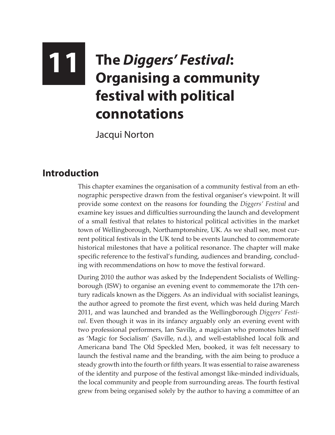## **11 The** *Diggers' Festival***: Organising a community festival with political connotations**

Jacqui Norton

## **Introduction**

This chapter examines the organisation of a community festival from an ethnographic perspective drawn from the festival organiser's viewpoint. It will provide some context on the reasons for founding the *Diggers' Festival* and examine key issues and difficulties surrounding the launch and development of a small festival that relates to historical political activities in the market town of Wellingborough, Northamptonshire, UK. As we shall see, most current political festivals in the UK tend to be events launched to commemorate historical milestones that have a political resonance. The chapter will make specific reference to the festival's funding, audiences and branding, concluding with recommendations on how to move the festival forward.

During 2010 the author was asked by the Independent Socialists of Wellingborough (ISW) to organise an evening event to commemorate the 17th century radicals known as the Diggers. As an individual with socialist leanings, the author agreed to promote the first event, which was held during March 2011, and was launched and branded as the Wellingborough *Diggers' Festival*. Even though it was in its infancy arguably only an evening event with two professional performers, Ian Saville, a magician who promotes himself as 'Magic for Socialism' (Saville, n.d.), and well-established local folk and Americana band The Old Speckled Men, booked, it was felt necessary to launch the festival name and the branding, with the aim being to produce a steady growth into the fourth or fifth years. It was essential to raise awareness of the identity and purpose of the festival amongst like-minded individuals, the local community and people from surrounding areas. The fourth festival grew from being organised solely by the author to having a committee of an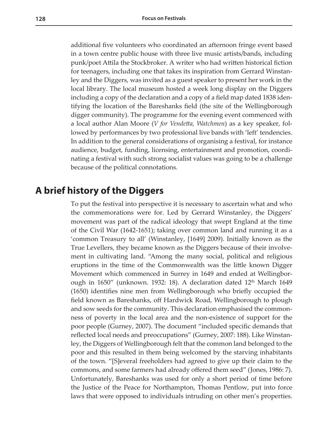additional five volunteers who coordinated an afternoon fringe event based in a town centre public house with three live music artists/bands, including punk/poet Attila the Stockbroker. A writer who had written historical fiction for teenagers, including one that takes its inspiration from Gerrard Winstanley and the Diggers, was invited as a guest speaker to present her work in the local library. The local museum hosted a week long display on the Diggers including a copy of the declaration and a copy of a field map dated 1838 identifying the location of the Bareshanks field (the site of the Wellingborough digger community). The programme for the evening event commenced with a local author Alan Moore (*V for Vendetta, Watchmen*) as a key speaker, followed by performances by two professional live bands with 'left' tendencies. In addition to the general considerations of organising a festival, for instance audience, budget, funding, licensing, entertainment and promotion, coordinating a festival with such strong socialist values was going to be a challenge because of the political connotations.

## **A brief history of the Diggers**

To put the festival into perspective it is necessary to ascertain what and who the commemorations were for. Led by Gerrard Winstanley, the Diggers' movement was part of the radical ideology that swept England at the time of the Civil War (1642-1651); taking over common land and running it as a 'common Treasury to all' (Winstanley, [1649] 2009). Initially known as the True Levellers, they became known as the Diggers because of their involvement in cultivating land. "Among the many social, political and religious eruptions in the time of the Commonwealth was the little known Digger Movement which commenced in Surrey in 1649 and ended at Wellingborough in 1650" (unknown. 1932: 18). A declaration dated  $12<sup>th</sup>$  March 1649 (1650) identifies nine men from Wellingborough who briefly occupied the field known as Bareshanks, off Hardwick Road, Wellingborough to plough and sow seeds for the community. This declaration emphasised the commonness of poverty in the local area and the non-existence of support for the poor people (Gurney, 2007). The document "included specific demands that reflected local needs and preoccupations" (Gurney, 2007: 188). Like Winstanley, the Diggers of Wellingborough felt that the common land belonged to the poor and this resulted in them being welcomed by the starving inhabitants of the town. "[S]everal freeholders had agreed to give up their claim to the commons, and some farmers had already offered them seed" (Jones, 1986: 7). Unfortunately, Bareshanks was used for only a short period of time before the Justice of the Peace for Northampton, Thomas Pentlow, put into force laws that were opposed to individuals intruding on other men's properties.